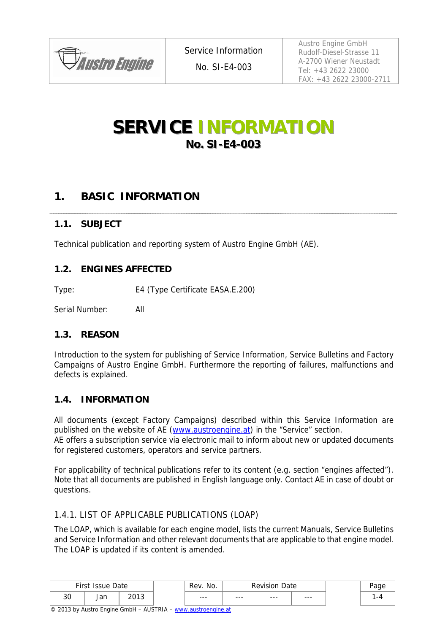

No. SI-E4-003

Austro Engine GmbH Rudolf-Diesel-Strasse 11 A-2700 Wiener Neustadt Tel: +43 2622 23000 FAX: +43 2622 23000-2711

# **SERVICE INFORMATION No. SI-E4-003**

# **1. BASIC INFORMATION**

### **1.1. SUBJECT**

Technical publication and reporting system of Austro Engine GmbH (AE).

#### **1.2. ENGINES AFFECTED**

Type: E4 (Type Certificate EASA.E.200)

Serial Number: All

### **1.3. REASON**

Introduction to the system for publishing of Service Information, Service Bulletins and Factory Campaigns of Austro Engine GmbH. Furthermore the reporting of failures, malfunctions and defects is explained.

#### **1.4. INFORMATION**

All documents (except Factory Campaigns) described within this Service Information are published on the website of AE (www.austroengine.at) in the "Service" section.

AE offers a subscription service via electronic mail to inform about new or updated documents for registered customers, operators and service partners.

For applicability of technical publications refer to its content (e.g. section "engines affected"). Note that all documents are published in English language only. Contact AE in case of doubt or questions.

### 1.4.1. LIST OF APPLICABLE PUBLICATIONS (LOAP)

The LOAP, which is available for each engine model, lists the current Manuals, Service Bulletins and Service Information and other relevant documents that are applicable to that engine model. The LOAP is updated if its content is amended.

| First<br>Date<br><i>Issue</i> |            | No.<br>Rev.  | Date<br><b>Pevision</b> |         | $\sim$  |      |   |
|-------------------------------|------------|--------------|-------------------------|---------|---------|------|---|
| $\sim$<br>ა∪                  | Jan<br>___ | 2012<br>∠∪≀∪ | $- - -$                 | $- - -$ | $- - -$ | $--$ | ۰ |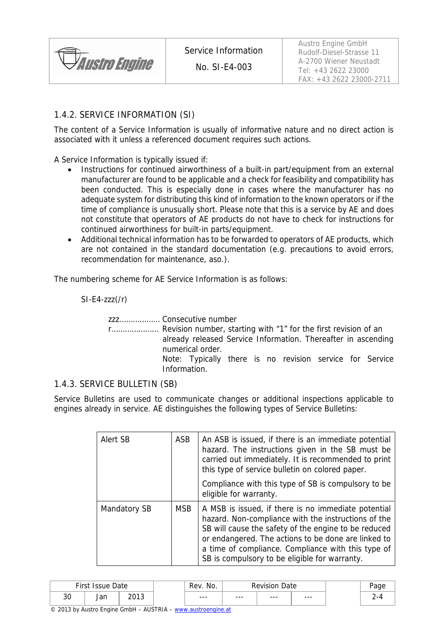

No. SI-E4-003

### 1.4.2. SERVICE INFORMATION (SI)

The content of a Service Information is usually of informative nature and no direct action is associated with it unless a referenced document requires such actions.

A Service Information is typically issued if:

- Instructions for continued airworthiness of a built-in part/equipment from an external manufacturer are found to be applicable and a check for feasibility and compatibility has been conducted. This is especially done in cases where the manufacturer has no adequate system for distributing this kind of information to the known operators or if the time of compliance is unusually short. Please note that this is a service by AE and does not constitute that operators of AE products do not have to check for instructions for continued airworthiness for built-in parts/equipment.
- Additional technical information has to be forwarded to operators of AE products, which are not contained in the standard documentation (e.g. precautions to avoid errors, recommendation for maintenance, aso.).

The numbering scheme for AE Service Information is as follows:

 $SI-E4-zzz/(r)$ 

zzz……………… Consecutive number

r………………… Revision number, starting with "1" for the first revision of an already released Service Information. Thereafter in ascending numerical order. Note: Typically there is no revision service for Service Information.

#### 1.4.3. SERVICE BULLETIN (SB)

Service Bulletins are used to communicate changes or additional inspections applicable to engines already in service. AE distinguishes the following types of Service Bulletins:

| Alert SB     | ASB        | An ASB is issued, if there is an immediate potential<br>hazard. The instructions given in the SB must be<br>carried out immediately. It is recommended to print<br>this type of service bulletin on colored paper.<br>Compliance with this type of SB is compulsory to be<br>eligible for warranty.                              |
|--------------|------------|----------------------------------------------------------------------------------------------------------------------------------------------------------------------------------------------------------------------------------------------------------------------------------------------------------------------------------|
| Mandatory SB | <b>MSB</b> | A MSB is issued, if there is no immediate potential<br>hazard. Non-compliance with the instructions of the<br>SB will cause the safety of the engine to be reduced<br>or endangered. The actions to be done are linked to<br>a time of compliance. Compliance with this type of<br>SB is compulsory to be eligible for warranty. |

|    | $Eirct$ $\overline{E}$<br>No.<br><b>Revision</b><br>Date<br>$AC = 1221$<br>₹ev |      | Date |         |         |         |         |  |
|----|--------------------------------------------------------------------------------|------|------|---------|---------|---------|---------|--|
| 30 | or<br>Jall                                                                     | 2012 |      | $- - -$ | $- - -$ | $- - -$ | $- - -$ |  |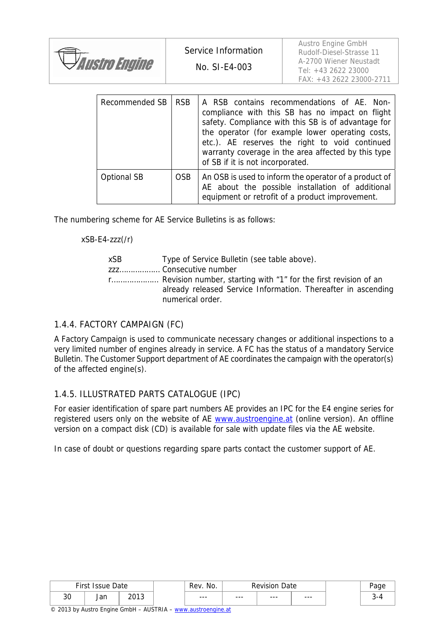| <i><b>PAustro Engine</b></i> |  |
|------------------------------|--|
|                              |  |

Austro Engine GmbH Rudolf-Diesel-Strasse 11 A-2700 Wiener Neustadt Tel: +43 2622 23000 FAX: +43 2622 23000-2711

| Recommended SB | <b>RSB</b> | A RSB contains recommendations of AE. Non-<br>compliance with this SB has no impact on flight<br>safety. Compliance with this SB is of advantage for<br>the operator (for example lower operating costs,<br>etc.). AE reserves the right to void continued<br>warranty coverage in the area affected by this type<br>of SB if it is not incorporated. |
|----------------|------------|-------------------------------------------------------------------------------------------------------------------------------------------------------------------------------------------------------------------------------------------------------------------------------------------------------------------------------------------------------|
| Optional SB    | <b>OSB</b> | An OSB is used to inform the operator of a product of<br>AE about the possible installation of additional<br>equipment or retrofit of a product improvement.                                                                                                                                                                                          |

The numbering scheme for AE Service Bulletins is as follows:

xSB-E4-zzz(/r)

| xSB | Type of Service Bulletin (see table above).                                                                                                            |
|-----|--------------------------------------------------------------------------------------------------------------------------------------------------------|
|     | zzz Consecutive number                                                                                                                                 |
|     | r Revision number, starting with "1" for the first revision of an<br>already released Service Information. Thereafter in ascending<br>numerical order. |

### 1.4.4. FACTORY CAMPAIGN (FC)

A Factory Campaign is used to communicate necessary changes or additional inspections to a very limited number of engines already in service. A FC has the status of a mandatory Service Bulletin. The Customer Support department of AE coordinates the campaign with the operator(s) of the affected engine(s).

### 1.4.5. ILLUSTRATED PARTS CATALOGUE (IPC)

For easier identification of spare part numbers AE provides an IPC for the E4 engine series for registered users only on the website of AE www.austroengine.at (online version). An offline version on a compact disk (CD) is available for sale with update files via the AE website.

In case of doubt or questions regarding spare parts contact the customer support of AE.

|                | First I<br>No.<br>Date<br>Rev.<br>Date<br>Revision<br><i>Issue</i> |      |  |         |         |         |     |  |
|----------------|--------------------------------------------------------------------|------|--|---------|---------|---------|-----|--|
| $\Omega$<br>ა∪ | ۵r<br>Jan                                                          | າດ1າ |  | $- - -$ | $- - -$ | $- - -$ | --- |  |